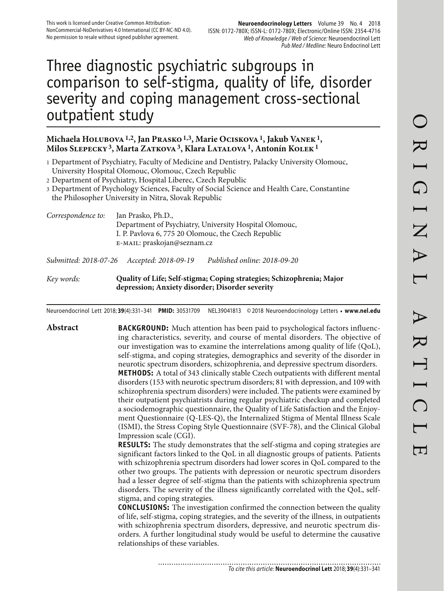# Three diagnostic psychiatric subgroups in comparison to self-stigma, quality of life, disorder severity and coping management cross-sectional outpatient study

#### **Michaela Holubova 1,2, Jan Prasko 1,3, Marie Ociskova 1, Jakub Vanek 1, Milos Slepecky 3, Marta Zatkova 3, Klara Latalova 1, Antonín Kolek 1**

1 Department of Psychiatry, Faculty of Medicine and Dentistry, Palacky University Olomouc, University Hospital Olomouc, Olomouc, Czech Republic

2 Department of Psychiatry, Hospital Liberec, Czech Republic

3 Department of Psychology Sciences, Faculty of Social Science and Health Care, Constantine the Philosopher University in Nitra, Slovak Republic

*Correspondence to:* Jan Prasko, Ph.D., Department of Psychiatry, University Hospital Olomouc, I. P. Pavlova 6, 775 20 Olomouc, the Czech Republic e-mail: praskojan@seznam.cz *Submitted: 2018-07-26 Accepted: 2018-09-19 Published online: 2018-09-20*

*Key words:* **Quality of Life; Self-stigma; Coping strategies; Schizophrenia; Major depression; Anxiety disorder; Disorder severity** 

Neuroendocrinol Lett 2018; **39**(4):331–341 **PMID:** 30531709 NEL39041813 © 2018 Neuroendocrinology Letters • **www.nel.edu**

**Abstract BACKGROUND:** Much attention has been paid to psychological factors influencing characteristics, severity, and course of mental disorders. The objective of our investigation was to examine the interrelations among quality of life (QoL), self-stigma, and coping strategies, demographics and severity of the disorder in neurotic spectrum disorders, schizophrenia, and depressive spectrum disorders. **METHODS:** A total of 343 clinically stable Czech outpatients with different mental disorders (153 with neurotic spectrum disorders; 81 with depression, and 109 with schizophrenia spectrum disorders) were included. The patients were examined by their outpatient psychiatrists during regular psychiatric checkup and completed a sociodemographic questionnaire, the Quality of Life Satisfaction and the Enjoyment Questionnaire (Q-LES-Q), the Internalized Stigma of Mental Illness Scale (ISMI), the Stress Coping Style Questionnaire (SVF-78), and the Clinical Global Impression scale (CGI).

**RESULTS:** The study demonstrates that the self-stigma and coping strategies are significant factors linked to the QoL in all diagnostic groups of patients. Patients with schizophrenia spectrum disorders had lower scores in QoL compared to the other two groups. The patients with depression or neurotic spectrum disorders had a lesser degree of self-stigma than the patients with schizophrenia spectrum disorders. The severity of the illness significantly correlated with the QoL, selfstigma, and coping strategies.

**CONCLUSIONS:** The investigation confirmed the connection between the quality of life, self-stigma, coping strategies, and the severity of the illness, in outpatients with schizophrenia spectrum disorders, depressive, and neurotic spectrum disorders. A further longitudinal study would be useful to determine the causative relationships of these variables.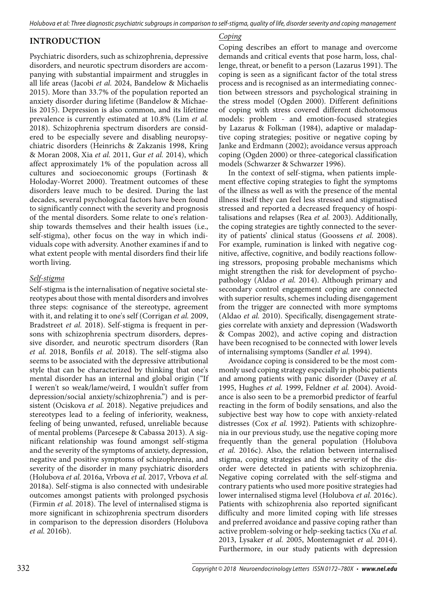## **INTRODUCTION**

Psychiatric disorders, such as schizophrenia, depressive disorders, and neurotic spectrum disorders are accompanying with substantial impairment and struggles in all life areas (Jacobi *et al.* 2024, Bandelow & Michaelis 2015). More than 33.7% of the population reported an anxiety disorder during lifetime (Bandelow & Michaelis 2015). Depression is also common, and its lifetime prevalence is currently estimated at 10.8% (Lim *et al.* 2018). Schizophrenia spectrum disorders are considered to be especially severe and disabling neuropsychiatric disorders (Heinrichs & Zakzanis 1998, Kring & Moran 2008, Xia *et al.* 2011, Gur *et al.* 2014), which affect approximately 1% of the population across all cultures and socioeconomic groups (Fortinash & Holoday-Worret 2000). Treatment outcomes of these disorders leave much to be desired. During the last decades, several psychological factors have been found to significantly connect with the severity and prognosis of the mental disorders. Some relate to one's relationship towards themselves and their health issues (i.e., self-stigma), other focus on the way in which individuals cope with adversity. Another examines if and to what extent people with mental disorders find their life worth living.

#### *Self-stigma*

Self-stigma is the internalisation of negative societal stereotypes about those with mental disorders and involves three steps: cognisance of the stereotype, agreement with it, and relating it to one's self (Corrigan *et al.* 2009, Bradstreet *et al.* 2018). Self-stigma is frequent in persons with schizophrenia spectrum disorders, depressive disorder, and neurotic spectrum disorders (Ran *et al.* 2018, Bonfils *et al.* 2018). The self-stigma also seems to be associated with the depressive attributional style that can be characterized by thinking that one's mental disorder has an internal and global origin ("If I weren't so weak/lame/weird, I wouldn't suffer from depression/social anxiety/schizophrenia.") and is persistent (Ociskova *et al.* 2018). Negative prejudices and stereotypes lead to a feeling of inferiority, weakness, feeling of being unwanted, refused, unreliable because of mental problems (Parcesepe & Cabassa 2013). A significant relationship was found amongst self-stigma and the severity of the symptoms of anxiety, depression, negative and positive symptoms of schizophrenia, and severity of the disorder in many psychiatric disorders (Holubova *et al.* 2016a, Vrbova *et al.* 2017, Vrbova *et al.* 2018a). Self-stigma is also connected with undesirable outcomes amongst patients with prolonged psychosis (Firmin *et al.* 2018). The level of internalised stigma is more significant in schizophrenia spectrum disorders in comparison to the depression disorders (Holubova *et al.* 2016b).

#### *Coping*

Coping describes an effort to manage and overcome demands and critical events that pose harm, loss, challenge, threat, or benefit to a person (Lazarus 1991). The coping is seen as a significant factor of the total stress process and is recognised as an intermediating connection between stressors and psychological straining in the stress model (Ogden 2000). Different definitions of coping with stress covered different dichotomous models: problem - and emotion-focused strategies by Lazarus & Folkman (1984), adaptive or maladaptive coping strategies; positive or negative coping by Janke and Erdmann (2002); avoidance versus approach coping (Ogden 2000) or three-categorical classification models (Schwarzer & Schwarzer 1996).

In the context of self-stigma, when patients implement effective coping strategies to fight the symptoms of the illness as well as with the presence of the mental illness itself they can feel less stressed and stigmatised stressed and reported a decreased frequency of hospitalisations and relapses (Rea *et al.* 2003). Additionally, the coping strategies are tightly connected to the severity of patients' clinical status (Goossens *et al.* 2008). For example, rumination is linked with negative cognitive, affective, cognitive, and bodily reactions following stressors, proposing probable mechanisms which might strengthen the risk for development of psychopathology (Aldao *et al.* 2014). Although primary and secondary control engagement coping are connected with superior results, schemes including disengagement from the trigger are connected with more symptoms (Aldao *et al.* 2010). Specifically, disengagement strategies correlate with anxiety and depression (Wadsworth & Compas 2002), and active coping and distraction have been recognised to be connected with lower levels of internalising symptoms (Sandler *et al.* 1994).

Avoidance coping is considered to be the most commonly used coping strategy especially in phobic patients and among patients with panic disorder (Davey *et al.* 1995, Hughes *et al.* 1999, Feldner *et al.* 2004). Avoidance is also seen to be a premorbid predictor of fearful reacting in the form of bodily sensations, and also the subjective best way how to cope with anxiety-related distresses (Cox *et al.* 1992). Patients with schizophrenia in our previous study, use the negative coping more frequently than the general population (Holubova *et al.* 2016c). Also, the relation between internalised stigma, coping strategies and the severity of the disorder were detected in patients with schizophrenia. Negative coping correlated with the self-stigma and contrary patients who used more positive strategies had lower internalised stigma level (Holubova *et al.* 2016c). Patients with schizophrenia also reported significant difficulty and more limited coping with life stresses and preferred avoidance and passive coping rather than active problem-solving or help-seeking tactics (Xu *et al.* 2013, Lysaker *et al.* 2005, Montemagniet *et al.* 2014). Furthermore, in our study patients with depression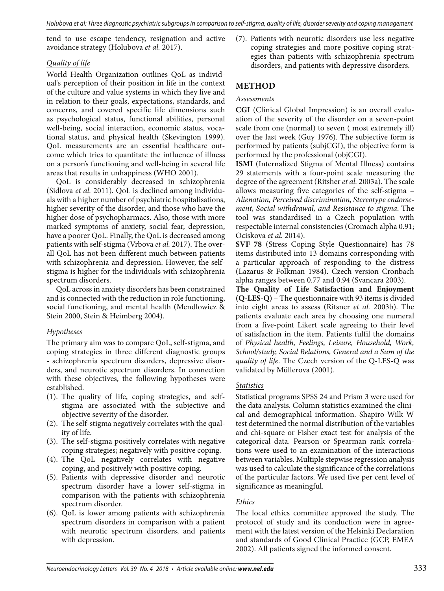tend to use escape tendency, resignation and active avoidance strategy (Holubova *et al.* 2017).

#### *Quality of life*

World Health Organization outlines QoL as individual's perception of their position in life in the context of the culture and value systems in which they live and in relation to their goals, expectations, standards, and concerns, and covered specific life dimensions such as psychological status, functional abilities, personal well-being, social interaction, economic status, vocational status, and physical health (Skevington 1999). QoL measurements are an essential healthcare outcome which tries to quantitate the influence of illness on a person's functioning and well-being in several life areas that results in unhappiness (WHO 2001).

QoL is considerably decreased in schizophrenia (Sidlova *et al.* 2011). QoL is declined among individuals with a higher number of psychiatric hospitalisations, higher severity of the disorder, and those who have the higher dose of psychopharmacs. Also, those with more marked symptoms of anxiety, social fear, depression, have a poorer QoL. Finally, the QoL is decreased among patients with self-stigma (Vrbova *et al.* 2017). The overall QoL has not been different much between patients with schizophrenia and depression. However, the selfstigma is higher for the individuals with schizophrenia spectrum disorders.

QoL across in anxiety disorders has been constrained and is connected with the reduction in role functioning, social functioning, and mental health (Mendlowicz & Stein 2000, Stein & Heimberg 2004).

#### *Hypotheses*

The primary aim was to compare QoL, self-stigma, and coping strategies in three different diagnostic groups - schizophrenia spectrum disorders, depressive disorders, and neurotic spectrum disorders. In connection with these objectives, the following hypotheses were established.

- (1). The quality of life, coping strategies, and selfstigma are associated with the subjective and objective severity of the disorder.
- (2). The self-stigma negatively correlates with the quality of life.
- (3). The self-stigma positively correlates with negative coping strategies; negatively with positive coping.
- (4). The QoL negatively correlates with negative coping, and positively with positive coping.
- (5). Patients with depressive disorder and neurotic spectrum disorder have a lower self-stigma in comparison with the patients with schizophrenia spectrum disorder.
- (6). QoL is lower among patients with schizophrenia spectrum disorders in comparison with a patient with neurotic spectrum disorders, and patients with depression.

(7). Patients with neurotic disorders use less negative coping strategies and more positive coping strategies than patients with schizophrenia spectrum disorders, and patients with depressive disorders.

# **METHOD**

### *Assessments*

**CGI** (Clinical Global Impression) is an overall evaluation of the severity of the disorder on a seven-point scale from one (normal) to seven ( most extremely ill) over the last week (Guy 1976). The subjective form is performed by patients (subjCGI), the objective form is performed by the professional (objCGI).

**ISMI** (Internalized Stigma of Mental Illness) contains 29 statements with a four-point scale measuring the degree of the agreement (Ritsher *et al.* 2003a). The scale allows measuring five categories of the self-stigma – *Alienation, Perceived discrimination, Stereotype endorsement, Social withdrawal, and Resistance to stigma*. The tool was standardised in a Czech population with respectable internal consistencies (Cromach alpha 0.91; Ociskova *et al.* 2014).

**SVF 78** (Stress Coping Style Questionnaire) has 78 items distributed into 13 domains corresponding with a particular approach of responding to the distress (Lazarus & Folkman 1984). Czech version Cronbach alpha ranges between 0.77 and 0.94 (Svancara 2003).

**The Quality of Life Satisfaction and Enjoyment (Q-LES-Q)** – The questionnaire with 93 items is divided into eight areas to assess (Ritsner *et al.* 2003b). The patients evaluate each area by choosing one numeral from a five-point Likert scale agreeing to their level of satisfaction in the item. Patients fulfil the domains of *Physical health, Feelings, Leisure, Household, Work, School/study, Social Relations, General and a Sum of the quality of life*. The Czech version of the Q-LES-Q was validated by Müllerova (2001).

#### *Statistics*

Statistical programs SPSS 24 and Prism 3 were used for the data analysis. Column statistics examined the clinical and demographical information. Shapiro-Wilk W test determined the normal distribution of the variables and chi-square or Fisher exact test for analysis of the categorical data. Pearson or Spearman rank correlations were used to an examination of the interactions between variables. Multiple stepwise regression analysis was used to calculate the significance of the correlations of the particular factors. We used five per cent level of significance as meaningful.

#### *Ethics*

The local ethics committee approved the study. The protocol of study and its conduction were in agreement with the latest version of the Helsinki Declaration and standards of Good Clinical Practice (GCP, EMEA 2002). All patients signed the informed consent.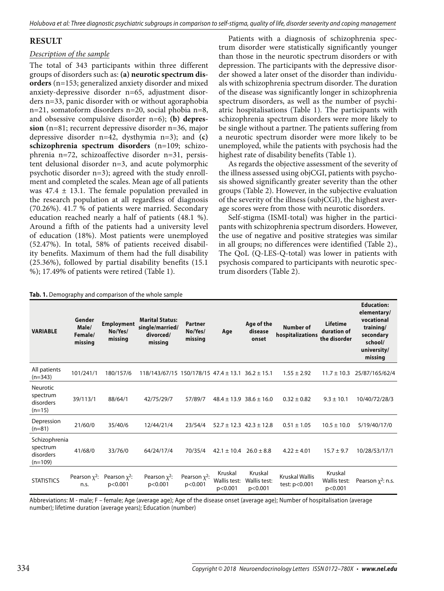## **RESULT**

#### *Description of the sample*

The total of 343 participants within three different groups of disorders such as: **(a) neurotic spectrum disorders** (n=153; generalized anxiety disorder and mixed anxiety-depressive disorder n=65, adjustment disorders n=33, panic disorder with or without agoraphobia n=21, somatoform disorders n=20, social phobia n=8, and obsessive compulsive disorder n=6); **(b) depression** (n=81; recurrent depressive disorder n=36, major depressive disorder n=42, dysthymia n=3); and **(c) schizophrenia spectrum disorders** (n=109; schizophrenia n=72, schizoaffective disorder n=31, persistent delusional disorder n=3, and acute polymorphic psychotic disorder n=3); agreed with the study enrollment and completed the scales. Mean age of all patients was  $47.4 \pm 13.1$ . The female population prevailed in the research population at all regardless of diagnosis (70.26%). 41.7 % of patients were married. Secondary education reached nearly a half of patients (48.1 %). Around a fifth of the patients had a university level of education (18%). Most patients were unemployed (52.47%). In total, 58% of patients received disability benefits. Maximum of them had the full disability (25.36%), followed by partial disability benefits (15.1 %); 17.49% of patients were retired (Table 1).

Patients with a diagnosis of schizophrenia spectrum disorder were statistically significantly younger than those in the neurotic spectrum disorders or with depression. The participants with the depressive disorder showed a later onset of the disorder than individuals with schizophrenia spectrum disorder. The duration of the disease was significantly longer in schizophrenia spectrum disorders, as well as the number of psychiatric hospitalisations (Table 1). The participants with schizophrenia spectrum disorders were more likely to be single without a partner. The patients suffering from a neurotic spectrum disorder were more likely to be unemployed, while the patients with psychosis had the highest rate of disability benefits (Table 1).

As regards the objective assessment of the severity of the illness assessed using objCGI, patients with psychosis showed significantly greater severity than the other groups (Table 2). However, in the subjective evaluation of the severity of the illness (subjCGI), the highest average scores were from those with neurotic disorders.

Self-stigma (ISMI-total) was higher in the participants with schizophrenia spectrum disorders. However, the use of negative and positive strategies was similar in all groups; no differences were identified (Table 2)., The QoL (Q-LES-Q-total) was lower in patients with psychosis compared to participants with neurotic spectrum disorders (Table 2).

| <b>VARIABLE</b>                                      | Gender<br>Male/<br>Female/<br>missing | <b>Employment</b><br>No/Yes/<br>missing | n it belliography and companion or the miole sample<br><b>Marital Status:</b><br>single/married/<br>divorced/<br>missing | <b>Partner</b><br>No/Yes/<br>missing | Age                                | Age of the<br>disease<br>onset     | <b>Number of</b><br>hospitalizations   | Lifetime<br>duration of<br>the disorder | <b>Education:</b><br>elementary/<br>vocational<br>training/<br>secondary<br>school/<br>university/<br>missing |
|------------------------------------------------------|---------------------------------------|-----------------------------------------|--------------------------------------------------------------------------------------------------------------------------|--------------------------------------|------------------------------------|------------------------------------|----------------------------------------|-----------------------------------------|---------------------------------------------------------------------------------------------------------------|
| All patients<br>$(n=343)$                            | 101/241/1                             | 180/157/6                               | $118/143/67/15$ 150/178/15 47.4 ± 13.1 36.2 ± 15.1                                                                       |                                      |                                    |                                    | $1.55 \pm 2.92$                        | $11.7 \pm 10.3$                         | 25/87/165/62/4                                                                                                |
| <b>Neurotic</b><br>spectrum<br>disorders<br>$(n=15)$ | 39/113/1                              | 88/64/1                                 | 42/75/29/7                                                                                                               | 57/89/7                              |                                    | $48.4 \pm 13.9$ 38.6 $\pm$ 16.0    | $0.32 \pm 0.82$                        | $9.3 \pm 10.1$                          | 10/40/72/28/3                                                                                                 |
| Depression<br>$(n=81)$                               | 21/60/0                               | 35/40/6                                 | 12/44/21/4                                                                                                               | 23/54/4                              |                                    | $52.7 \pm 12.3$ 42.3 $\pm$ 12.8    | $0.51 \pm 1.05$                        | $10.5 \pm 10.0$                         | 5/19/40/17/0                                                                                                  |
| Schizophrenia<br>spectrum<br>disorders<br>$(n=109)$  | 41/68/0                               | 33/76/0                                 | 64/24/17/4                                                                                                               | 70/35/4                              | $42.1 \pm 10.4$                    | $26.0 \pm 8.8$                     | $4.22 \pm 4.01$                        | $15.7 \pm 9.7$                          | 10/28/53/17/1                                                                                                 |
| <b>STATISTICS</b>                                    | Pearson $\chi^2$ :<br>n.s.            | Pearson $x^2$ :<br>p<0.001              | Pearson $\chi^2$ :<br>p<0.001                                                                                            | Pearson $\chi^2$ :<br>p<0.001        | Kruskal<br>Wallis test:<br>p<0.001 | Kruskal<br>Wallis test:<br>p<0.001 | <b>Kruskal Wallis</b><br>test: p<0.001 | Kruskal<br>Wallis test:<br>p<0.001      | Pearson $\chi^2$ : n.s.                                                                                       |

**Tab. 1.** Demography and comparison of the whole sample

Abbreviations: M - male; F – female; Age (average age); Age of the disease onset (average age); Number of hospitalisation (average number); lifetime duration (average years); Education (number)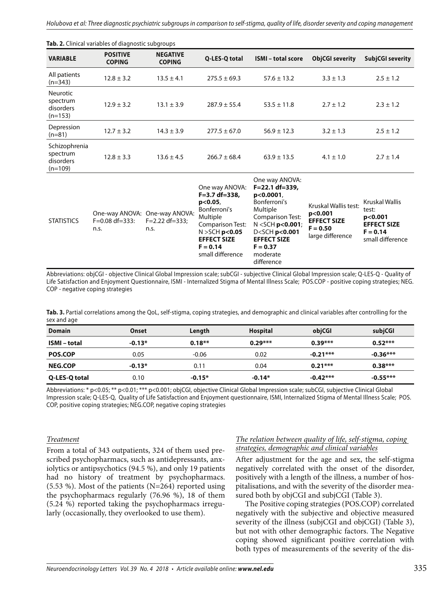| <b>Tab. 2.</b> Clinical variables of diagnostic subgroups |                                  |                                                       |                                                                                                             |                                                                                                                           |                                                       |                                                  |  |  |
|-----------------------------------------------------------|----------------------------------|-------------------------------------------------------|-------------------------------------------------------------------------------------------------------------|---------------------------------------------------------------------------------------------------------------------------|-------------------------------------------------------|--------------------------------------------------|--|--|
| <b>VARIABLE</b>                                           | <b>POSITIVE</b><br><b>COPING</b> | <b>NEGATIVE</b><br><b>COPING</b>                      | Q-LES-Q total                                                                                               | <b>ISMI</b> – total score                                                                                                 | <b>ObjCGI severity</b>                                | <b>SubjCGI severity</b>                          |  |  |
| All patients<br>$(n=343)$                                 | $12.8 \pm 3.2$                   | $13.5 \pm 4.1$                                        | $275.5 \pm 69.3$                                                                                            | $57.6 \pm 13.2$                                                                                                           | $3.3 \pm 1.3$                                         | $2.5 \pm 1.2$                                    |  |  |
| <b>Neurotic</b><br>spectrum<br>disorders<br>$(n=153)$     | $12.9 \pm 3.2$                   | $13.1 \pm 3.9$                                        | $287.9 \pm 55.4$                                                                                            | $53.5 \pm 11.8$                                                                                                           | $2.7 \pm 1.2$                                         | $2.3 \pm 1.2$                                    |  |  |
| Depression<br>$(n=81)$                                    | $12.7 \pm 3.2$                   | $14.3 \pm 3.9$                                        | $277.5 \pm 67.0$                                                                                            | $56.9 \pm 12.3$                                                                                                           | $3.2 \pm 1.3$                                         | $2.5 \pm 1.2$                                    |  |  |
| Schizophrenia<br>spectrum<br>disorders<br>$(n=109)$       | $12.8 \pm 3.3$                   | $13.6 \pm 4.5$                                        | $266.7 \pm 68.4$                                                                                            | $63.9 \pm 13.5$                                                                                                           | $4.1 \pm 1.0$                                         | $2.7 \pm 1.4$                                    |  |  |
| <b>STATISTICS</b>                                         | $F = 0.08$ df=333:               | One-way ANOVA: One-way ANOVA:<br>$F = 2.22 df = 333;$ | One way ANOVA:<br>F=3.7 df=338,<br>p<0.05<br>Bonferroni's<br>Multiple<br>$\sim$ $\sim$ $\sim$ $\sim$ $\sim$ | One way ANOVA:<br>$F = 22.1 df = 339.$<br>p<0.0001<br>Bonferroni's<br>Multiple<br><b>Comparison Test:</b><br>$\mathbf{A}$ | Kruskal Wallis test:<br>p<0.001<br><b>EFFECT SIZE</b> | Kruskal Wallis<br>test:<br>p<0.001<br>---------- |  |  |

**Tab. 2.** Clinical variables of diagnostic subgroups

n.s.

n.s.

Abbreviations: objCGI - objective Clinical Global Impression scale; subCGI - subjective Clinical Global Impression scale; Q-LES-Q - Quality of Life Satisfaction and Enjoyment Questionnaire, ISMI - Internalized Stigma of Mental Illness Scale; POS.COP - positive coping strategies; NEG. COP - negative coping strategies

Comparison Test: N >SCH **p<0.05 EFFECT SIZE**   $F = 0.14$ small difference

N <SCH **p<0.001**; D<SCH **p<0.001 EFFECT SIZE**   $F = 0.37$ moderate difference

**F = 0.50** large difference

**EFFECT SIZE F = 0.14** small difference

Tab. 3. Partial correlations among the QoL, self-stigma, coping strategies, and demographic and clinical variables after controlling for the sex and age

| <b>Domain</b>       | Onset    | Length   | <b>Hospital</b> | objCGI     | subjCGI    |
|---------------------|----------|----------|-----------------|------------|------------|
| <b>ISMI</b> – total | $-0.13*$ | $0.18**$ | $0.29***$       | $0.39***$  | $0.52***$  |
| <b>POS.COP</b>      | 0.05     | $-0.06$  | 0.02            | $-0.21***$ | $-0.36***$ |
| <b>NEG.COP</b>      | $-0.13*$ | 0.11     | 0.04            | $0.21***$  | $0.38***$  |
| Q-LES-Q total       | 0.10     | $-0.15*$ | $-0.14*$        | $-0.42***$ | $-0.55***$ |

Abbreviations: \* p<0.05; \*\* p<0.01; \*\*\* p<0.001; objCGI, objective Clinical Global Impression scale; subCGI, subjective Clinical Global Impression scale; Q-LES-Q, Quality of Life Satisfaction and Enjoyment questionnaire, ISMI, Internalized Stigma of Mental Illness Scale; POS. COP, positive coping strategies; NEG.COP, negative coping strategies

#### *Treatment*

From a total of 343 outpatients, 324 of them used prescribed psychopharmacs, such as antidepressants, anxiolytics or antipsychotics (94.5 %), and only 19 patients had no history of treatment by psychopharmacs. (5.53 %). Most of the patients (N=264) reported using the psychopharmacs regularly (76.96 %), 18 of them (5.24 %) reported taking the psychopharmacs irregularly (occasionally, they overlooked to use them).

#### *The relation between quality of life, self-stigma, coping strategies, demographic and clinical variables*

After adjustment for the age and sex, the self-stigma negatively correlated with the onset of the disorder, positively with a length of the illness, a number of hospitalisations, and with the severity of the disorder measured both by objCGI and subjCGI (Table 3).

The Positive coping strategies (POS.COP) correlated negatively with the subjective and objective measured severity of the illness (subjCGI and objCGI) (Table 3), but not with other demographic factors. The Negative coping showed significant positive correlation with both types of measurements of the severity of the dis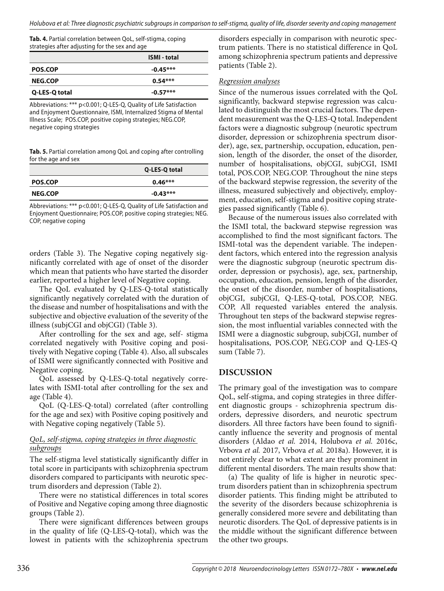**Tab. 4.** Partial correlation between QoL, self-stigma, coping strategies after adjusting for the sex and age

|                | <b>ISMI</b> - total |
|----------------|---------------------|
| <b>POS.COP</b> | $-0.45***$          |
| <b>NEG.COP</b> | $0.54***$           |
| Q-LES-Q total  | $-0.57***$          |

Abbreviations: \*\*\* p<0.001; Q-LES-Q, Quality of Life Satisfaction and Enjoyment Questionnaire, ISMI, Internalized Stigma of Mental Illness Scale; POS.COP, positive coping strategies; NEG.COP, negative coping strategies

**Tab. 5.** Partial correlation among QoL and coping after controlling for the age and sex

|                | Q-LES-Q total |
|----------------|---------------|
| <b>POS.COP</b> | $0.46***$     |
| <b>NEG.COP</b> | $-0.43***$    |

Abbreviations: \*\*\* p<0.001; Q-LES-Q, Quality of Life Satisfaction and Enjoyment Questionnaire; POS.COP, positive coping strategies; NEG. COP, negative coping

orders (Table 3). The Negative coping negatively significantly correlated with age of onset of the disorder which mean that patients who have started the disorder earlier, reported a higher level of Negative coping.

The QoL evaluated by Q-LES-Q-total statistically significantly negatively correlated with the duration of the disease and number of hospitalisations and with the subjective and objective evaluation of the severity of the illness (subjCGI and objCGI) (Table 3).

After controlling for the sex and age, self- stigma correlated negatively with Positive coping and positively with Negative coping (Table 4). Also, all subscales of ISMI were significantly connected with Positive and Negative coping.

QoL assessed by Q-LES-Q-total negatively correlates with ISMI-total after controlling for the sex and age (Table 4).

QoL (Q-LES-Q-total) correlated (after controlling for the age and sex) with Positive coping positively and with Negative coping negatively (Table 5).

#### *QoL, self-stigma, coping strategies in three diagnostic subgroups*

The self-stigma level statistically significantly differ in total score in participants with schizophrenia spectrum disorders compared to participants with neurotic spectrum disorders and depression (Table 2).

There were no statistical differences in total scores of Positive and Negative coping among three diagnostic groups (Table 2).

There were significant differences between groups in the quality of life (Q-LES-Q-total), which was the lowest in patients with the schizophrenia spectrum disorders especially in comparison with neurotic spectrum patients. There is no statistical difference in QoL among schizophrenia spectrum patients and depressive patients (Table 2).

#### *Regression analyses*

Since of the numerous issues correlated with the QoL significantly, backward stepwise regression was calculated to distinguish the most crucial factors. The dependent measurement was the Q-LES-Q total. Independent factors were a diagnostic subgroup (neurotic spectrum disorder, depression or schizophrenia spectrum disorder), age, sex, partnership, occupation, education, pension, length of the disorder, the onset of the disorder, number of hospitalisations, objCGI, subjCGI, ISMI total, POS.COP, NEG.COP. Throughout the nine steps of the backward stepwise regression, the severity of the illness, measured subjectively and objectively, employment, education, self-stigma and positive coping strategies passed significantly (Table 6).

Because of the numerous issues also correlated with the ISMI total, the backward stepwise regression was accomplished to find the most significant factors. The ISMI-total was the dependent variable. The independent factors, which entered into the regression analysis were the diagnostic subgroup (neurotic spectrum disorder, depression or psychosis), age, sex, partnership, occupation, education, pension, length of the disorder, the onset of the disorder, number of hospitalisations, objCGI, subjCGI, Q-LES-Q-total, POS.COP, NEG. COP, All requested variables entered the analysis. Throughout ten steps of the backward stepwise regression, the most influential variables connected with the ISMI were a diagnostic subgroup, subjCGI, number of hospitalisations, POS.COP, NEG.COP and Q-LES-Q sum (Table 7).

#### **DISCUSSION**

The primary goal of the investigation was to compare QoL, self-stigma, and coping strategies in three different diagnostic groups - schizophrenia spectrum disorders, depressive disorders, and neurotic spectrum disorders. All three factors have been found to significantly influence the severity and prognosis of mental disorders (Aldao *et al.* 2014, Holubova *et al.* 2016c, Vrbova *et al.* 2017, Vrbova *et al.* 2018a). However, it is not entirely clear to what extent are they prominent in different mental disorders. The main results show that:

(a) The quality of life is higher in neurotic spectrum disorders patient than in schizophrenia spectrum disorder patients. This finding might be attributed to the severity of the disorders because schizophrenia is generally considered more severe and debilitating than neurotic disorders. The QoL of depressive patients is in the middle without the significant difference between the other two groups.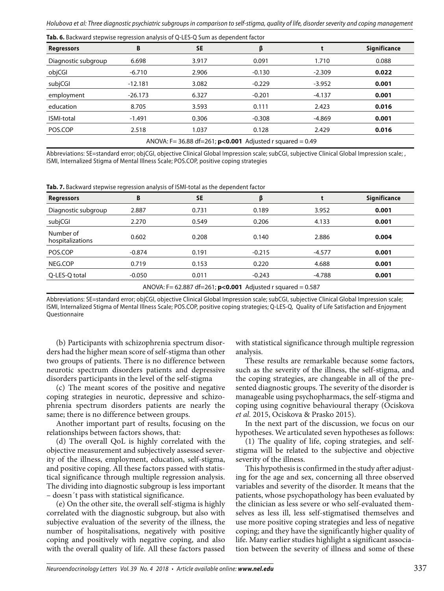| <b>Regressors</b>   | B         | <b>SE</b> | β                                                           |          | <b>Significance</b> |
|---------------------|-----------|-----------|-------------------------------------------------------------|----------|---------------------|
| Diagnostic subgroup | 6.698     | 3.917     | 0.091                                                       | 1.710    | 0.088               |
| objCGI              | $-6.710$  | 2.906     | $-0.130$                                                    | $-2.309$ | 0.022               |
| subjCGI             | $-12.181$ | 3.082     | $-0.229$                                                    | $-3.952$ | 0.001               |
| employment          | $-26.173$ | 6.327     | $-0.201$                                                    | $-4.137$ | 0.001               |
| education           | 8.705     | 3.593     | 0.111                                                       | 2.423    | 0.016               |
| <b>ISMI-total</b>   | $-1.491$  | 0.306     | $-0.308$                                                    | $-4.869$ | 0.001               |
| POS.COP             | 2.518     | 1.037     | 0.128                                                       | 2.429    | 0.016               |
|                     |           |           | ANOVA: F= 36.88 df=261; $p<0.001$ Adjusted r squared = 0.49 |          |                     |

**Tab. 6.** Backward stepwise regression analysis of Q-LES-Q Sum as dependent factor

Abbreviations: SE=standard error; objCGI, objective Clinical Global Impression scale; subCGI, subjective Clinical Global Impression scale; , ISMI, Internalized Stigma of Mental Illness Scale; POS.COP, positive coping strategies

**Tab. 7.** Backward stepwise regression analysis of ISMI-total as the dependent factor

| <b>Regressors</b>                                             | B        | <b>SE</b> | β        |          | <b>Significance</b> |  |
|---------------------------------------------------------------|----------|-----------|----------|----------|---------------------|--|
| Diagnostic subgroup                                           | 2.887    | 0.731     | 0.189    | 3.952    | 0.001               |  |
| subjCGI                                                       | 2.270    | 0.549     | 0.206    | 4.133    | 0.001               |  |
| Number of<br>hospitalizations                                 | 0.602    | 0.208     | 0.140    | 2.886    | 0.004               |  |
| POS.COP                                                       | $-0.874$ | 0.191     | $-0.215$ | $-4.577$ | 0.001               |  |
| NEG.COP                                                       | 0.719    | 0.153     | 0.220    | 4.688    | 0.001               |  |
| Q-LES-Q total                                                 | $-0.050$ | 0.011     | $-0.243$ | $-4.788$ | 0.001               |  |
| ANOVA: F= 62.887 df=261; $p<0.001$ Adjusted r squared = 0.587 |          |           |          |          |                     |  |

Abbreviations: SE=standard error; objCGI, objective Clinical Global Impression scale; subCGI, subjective Clinical Global Impression scale; ISMI, Internalized Stigma of Mental Illness Scale; POS.COP, positive coping strategies; Q-LES-Q, Quality of Life Satisfaction and Enjoyment **Questionnaire** 

(b) Participants with schizophrenia spectrum disorders had the higher mean score of self-stigma than other two groups of patients. There is no difference between neurotic spectrum disorders patients and depressive disorders participants in the level of the self-stigma

(c) The meant scores of the positive and negative coping strategies in neurotic, depressive and schizophrenia spectrum disorders patients are nearly the same; there is no difference between groups.

Another important part of results, focusing on the relationships between factors shows, that:

(d) The overall QoL is highly correlated with the objective measurement and subjectively assessed severity of the illness, employment, education, self-stigma, and positive coping. All these factors passed with statistical significance through multiple regression analysis. The dividing into diagnostic subgroup is less important – doesn´t pass with statistical significance.

(e) On the other site, the overall self-stigma is highly correlated with the diagnostic subgroup, but also with subjective evaluation of the severity of the illness, the number of hospitalisations, negatively with positive coping and positively with negative coping, and also with the overall quality of life. All these factors passed

with statistical significance through multiple regression analysis.

These results are remarkable because some factors, such as the severity of the illness, the self-stigma, and the coping strategies, are changeable in all of the presented diagnostic groups. The severity of the disorder is manageable using psychopharmacs, the self-stigma and coping using cognitive behavioural therapy (Ociskova *et al.* 2015, Ociskova & Prasko 2015).

In the next part of the discussion, we focus on our hypotheses. We articulated seven hypotheses as follows:

(1) The quality of life, coping strategies, and selfstigma will be related to the subjective and objective severity of the illness.

This hypothesis is confirmed in the study after adjusting for the age and sex, concerning all three observed variables and severity of the disorder. It means that the patients, whose psychopathology has been evaluated by the clinician as less severe or who self-evaluated themselves as less ill, less self-stigmatised themselves and use more positive coping strategies and less of negative coping; and they have the significantly higher quality of life. Many earlier studies highlight a significant association between the severity of illness and some of these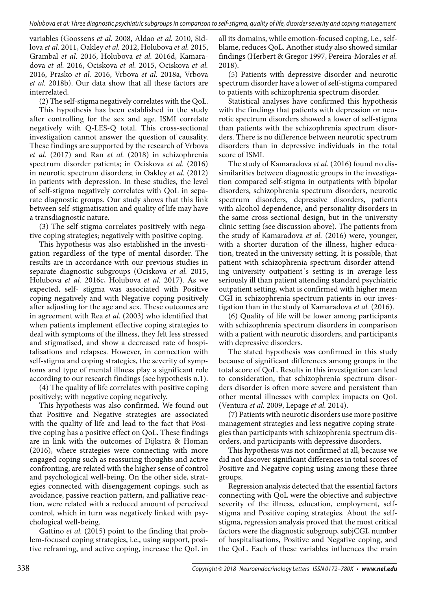variables (Goossens *et al.* 2008, Aldao *et al.* 2010, Sidlova *et al.* 2011, Oakley *et al.* 2012, Holubova *et al.* 2015, Grambal *et al.* 2016, Holubova *et al.* 2016d, Kamaradova *et al.* 2016, Ociskova *et al.* 2015, Ociskova *et al.* 2016, Prasko *et al.* 2016, Vrbova *et al.* 2018a, Vrbova *et al.* 2018b). Our data show that all these factors are interrelated.

(2) The self-stigma negatively correlates with the QoL.

This hypothesis has been established in the study after controlling for the sex and age. ISMI correlate negatively with Q-LES-Q total. This cross-sectional investigation cannot answer the question of causality. These findings are supported by the research of Vrbova *et al.* (2017) and Ran *et al.* (2018) in schizophrenia spectrum disorder patients; in Ociskova *et al.* (2016) in neurotic spectrum disorders; in Oakley *et al.* (2012) in patients with depression. In these studies, the level of self-stigma negatively correlates with QoL in separate diagnostic groups. Our study shows that this link between self-stigmatisation and quality of life may have a transdiagnostic nature.

(3) The self-stigma correlates positively with negative coping strategies; negatively with positive coping.

This hypothesis was also established in the investigation regardless of the type of mental disorder. The results are in accordance with our previous studies in separate diagnostic subgroups (Ociskova *et al.* 2015, Holubova *et al.* 2016c, Holubova *et al.* 2017). As we expected, self- stigma was associated with Positive coping negatively and with Negative coping positively after adjusting for the age and sex. These outcomes are in agreement with Rea *et al.* (2003) who identified that when patients implement effective coping strategies to deal with symptoms of the illness, they felt less stressed and stigmatised, and show a decreased rate of hospitalisations and relapses. However, in connection with self-stigma and coping strategies, the severity of symptoms and type of mental illness play a significant role according to our research findings (see hypothesis n.1).

(4) The quality of life correlates with positive coping positively; with negative coping negatively.

This hypothesis was also confirmed. We found out that Positive and Negative strategies are associated with the quality of life and lead to the fact that Positive coping has a positive effect on QoL. These findings are in link with the outcomes of Dijkstra & Homan (2016), where strategies were connecting with more engaged coping such as reassuring thoughts and active confronting, are related with the higher sense of control and psychological well-being. On the other side, strategies connected with disengagement copings, such as avoidance, passive reaction pattern, and palliative reaction, were related with a reduced amount of perceived control, which in turn was negatively linked with psychological well-being.

Gattino *et al.* (2015) point to the finding that problem-focused coping strategies, i.e., using support, positive reframing, and active coping, increase the QoL in

all its domains, while emotion-focused coping, i.e., selfblame, reduces QoL. Another study also showed similar findings (Herbert & Gregor 1997, Pereira-Morales *et al.* 2018).

(5) Patients with depressive disorder and neurotic spectrum disorder have a lower of self-stigma compared to patients with schizophrenia spectrum disorder.

Statistical analyses have confirmed this hypothesis with the findings that patients with depression or neurotic spectrum disorders showed a lower of self-stigma than patients with the schizophrenia spectrum disorders. There is no difference between neurotic spectrum disorders than in depressive individuals in the total score of ISMI.

The study of Kamaradova *et al.* (2016) found no dissimilarities between diagnostic groups in the investigation compared self-stigma in outpatients with bipolar disorders, schizophrenia spectrum disorders, neurotic spectrum disorders, depressive disorders, patients with alcohol dependence, and personality disorders in the same cross-sectional design, but in the university clinic setting (see discussion above). The patients from the study of Kamaradova *et al.* (2016) were, younger, with a shorter duration of the illness, higher education, treated in the university setting. It is possible, that patient with schizophrenia spectrum disorder attending university outpatient´s setting is in average less seriously ill than patient attending standard psychiatric outpatient setting, what is confirmed with higher mean CGI in schizophrenia spectrum patients in our investigation than in the study of Kamaradova *et al.* (2016).

(6) Quality of life will be lower among participants with schizophrenia spectrum disorders in comparison with a patient with neurotic disorders, and participants with depressive disorders.

The stated hypothesis was confirmed in this study because of significant differences among groups in the total score of QoL. Results in this investigation can lead to consideration, that schizophrenia spectrum disorders disorder is often more severe and persistent than other mental illnesses with complex impacts on QoL (Ventura *et al.* 2009, Lepage *et al.* 2014).

(7) Patients with neurotic disorders use more positive management strategies and less negative coping strategies than participants with schizophrenia spectrum disorders, and participants with depressive disorders.

This hypothesis was not confirmed at all, because we did not discover significant differences in total scores of Positive and Negative coping using among these three groups.

Regression analysis detected that the essential factors connecting with QoL were the objective and subjective severity of the illness, education, employment, selfstigma and Positive coping strategies. About the selfstigma, regression analysis proved that the most critical factors were the diagnostic subgroup, subjCGI, number of hospitalisations, Positive and Negative coping, and the QoL. Each of these variables influences the main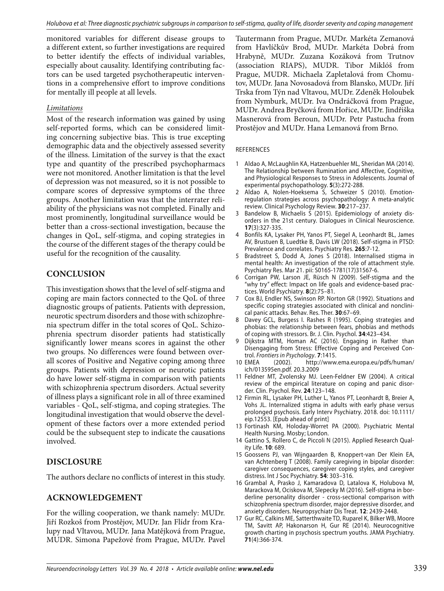monitored variables for different disease groups to a different extent, so further investigations are required to better identify the effects of individual variables, especially about causality. Identifying contributing factors can be used targeted psychotherapeutic interventions in a comprehensive effort to improve conditions for mentally ill people at all levels.

#### *Limitations*

Most of the research information was gained by using self-reported forms, which can be considered limiting concerning subjective bias. This is true excepting demographic data and the objectively assessed severity of the illness. Limitation of the survey is that the exact type and quantity of the prescribed psychopharmacs were not monitored. Another limitation is that the level of depression was not measured, so it is not possible to compare scores of depressive symptoms of the three groups. Another limitation was that the interrater reliability of the physicians was not completed. Finally and most prominently, longitudinal surveillance would be better than a cross-sectional investigation, because the changes in QoL, self-stigma, and coping strategies in the course of the different stages of the therapy could be useful for the recognition of the causality.

## **CONCLUSION**

This investigation shows that the level of self-stigma and coping are main factors connected to the QoL of three diagnostic groups of patients. Patients with depression, neurotic spectrum disorders and those with schizophrenia spectrum differ in the total scores of QoL. Schizophrenia spectrum disorder patients had statistically significantly lower means scores in against the other two groups. No differences were found between overall scores of Positive and Negative coping among three groups. Patients with depression or neurotic patients do have lower self-stigma in comparison with patients with schizophrenia spectrum disorders. Actual severity of illness plays a significant role in all of three examined variables - QoL, self-stigma, and coping strategies. The longitudinal investigation that would observe the development of these factors over a more extended period could be the subsequent step to indicate the causations involved.

## **DISCLOSURE**

The authors declare no conflicts of interest in this study.

## **ACKNOWLEDGEMENT**

For the willing cooperation, we thank namely: MUDr. Jiří Rozkoš from Prostějov, MUDr. Jan Flídr from Kralupy nad Vltavou, MUDr. Jana Matějková from Prague, MUDR. Simona Papežové from Prague, MUDr. Pavel Tautermann from Prague, MUDr. Markéta Zemanová from Havlíčkův Brod, MUDr. Markéta Dobrá from Hrabyně, MUDr. Zuzana Kozáková from Trutnov (association RIAPS), MUDR. Tibor Miklóš from Prague, MUDR. Michaela Zapletalová from Chomutov, MUDr. Jana Novosadová from Blansko, MUDr. Jiří Trska from Týn nad Vltavou, MUDr. Zdeněk Holoubek from Nymburk, MUDr. Iva Ondráčková from Prague, MUDr. Andrea Bryčková from Hořice, MUDr. Jindřiška Masnerová from Beroun, MUDr. Petr Pastucha from Prostějov and MUDr. Hana Lemanová from Brno.

#### REFERENCES

- 1 Aldao A, McLaughlin KA, Hatzenbuehler ML, Sheridan MA (2014). The Relationship between Rumination and Affective, Cognitive, and Physiological Responses to Stress in Adolescents. Journal of experimental psychopathology. **5**(3):272-288.
- 2 Aldao A, Nolen-Hoeksema S, Schweizer S (2010). Emotionregulation strategies across psychopathology: A meta-analytic review. Clinical Psychology Review. **30**:217–237.
- 3 Bandelow B, Michaelis S (2015). Epidemiology of anxiety disorders in the 21st century. Dialogues in Clinical Neuroscience. **17**(3):327-335.
- 4 Bonfils KA, Lysaker PH, Yanos PT, Siegel A, Leonhardt BL, James AV, Brustuen B, Luedtke B, Davis LW (2018). Self-stigma in PTSD: Prevalence and correlates. Psychiatry Res. **265**:7-12.
- 5 Bradstreet S, Dodd A, Jones S (2018). Internalised stigma in mental health: An investigation of the role of attachment style. Psychiatry Res. Mar 21. pii: S0165-1781(17)31567-6.
- 6 Corrigan PW, Larson JE, Rüsch N (2009). Self-stigma and the "why try" effect: Impact on life goals and evidence-based practices. World Psychiatry. **8**(2):75–81.
- 7 Cox BJ, Endler NS, Swinson RP. Norton GR (1992). Situations and specific coping strategies associated with clinical and nonclinical panic attacks. Behav. Res. Ther. **30**:67–69.
- 8 Davey GCL, Burgess I. Rashes R (1995). Coping strategies and phobias: the relationship between fears, phobias and methods of coping with stressors. Br. J. Clin. Psychol. **34**:423–434.
- 9 Dijkstra MTM, Homan AC (2016). Engaging in Rather than Disengaging from Stress: Effective Coping and Perceived Control. Frontiers in Psychology. **7**:1415.<br>10 EMEA (2002). http://www.
- (2002). http://www.ema.europa.eu/pdfs/human/ ich/013595en.pdf. 20.3.2009
- 11 Feldner MT, Zvolensky MJ. Leen-Feldner EW (2004). A critical review of the empirical literature on coping and panic disorder. Clin. Psychol. Rev. **24**:123–148.
- 12 Firmin RL, Lysaker PH, Luther L, Yanos PT, Leonhardt B, Breier A, Vohs JL. Internalized stigma in adults with early phase versus prolonged psychosis. Early Interv Psychiatry. 2018. doi: 10.1111/ eip.12553. [Epub ahead of print]
- 13 Fortinash KM, Holoday-Worret PA (2000). Psychiatric Mental Health Nursing. Mosby; London.
- 14 Gattino S, Rollero C, de Piccoli N (2015). Applied Research Quality Life. **10**: 689.
- 15 Goossens PJ, van Wijngaarden B, Knoppert-van Der Klein EA, van Achtenberg T (2008). Family caregiving in bipolar disorder: caregiver consequences, caregiver coping styles, and caregiver distress. Int J Soc Psychiatry. **54**: 303–316.
- 16 Grambal A, Prasko J, Kamaradova D, Latalova K, Holubova M, Marackova M, Ociskova M, Slepecky M (2016). Self-stigma in borderline personality disorder - cross-sectional comparison with schizophrenia spectrum disorder, major depressive disorder, and anxiety disorders. Neuropsychiatr Dis Treat. **12**: 2439-2448.
- 17 Gur RC, Calkins ME, Satterthwaite TD, Ruparel K, Bilker WB, Moore TM, Savitt AP, Hakonarson H, Gur RE (2014). Neurocognitive growth charting in psychosis spectrum youths. JAMA Psychiatry. **71**(4):366-374.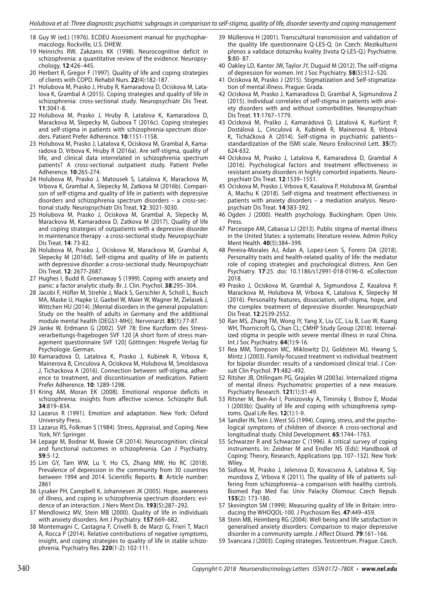- 18 Guy W (ed.) (1976). ECDEU Assessment manual for psychopharmacology. Rockville, U.S. DHEW.
- 19 Heinrichs RW, Zakzanis KK (1998). Neurocognitive deficit in schizophrenia: a quantitative review of the evidence. Neuropsychology. **12**:426–445.
- 20 Herbert R, Gregor F (1997). Quality of life and coping strategies of clients with COPD. Rehabil Nurs. **22**(4):182-187.
- 21 Holubova M, Prasko J, Hruby R, Kamaradova D, Ociskova M, Latalova K, Grambal A (2015). Coping strategies and quality of life in schizophrenia: cross-sectional study. Neuropsychiatr Dis Treat. **11**:3041-8.
- 22 Holubova M, Prasko J, Hruby R, Latalova K, Kamaradova D, Marackova M, Slepecky M, Gubova T (2016c). Coping strategies and self-stigma in patients with schizophrenia-spectrum disorders. Patient Prefer Adherence. **10**:1151-1158.
- 23 Holubova M, Prasko J, Latalova K, Ociskova M, Grambal A, Kamaradova D, Vrbova K, Hruby R (2016a). Are self-stigma, quality of life, and clinical data interrelated in schizophrenia spectrum patients? A cross-sectional outpatient study. Patient Prefer Adherence. **10**:265-274.
- 24 Holubova M, Prasko J, Matousek S, Latalova K, Marackova M, Vrbova K, Grambal A, Slepecky M, Zatkova M (2016b). Comparison of self-stigma and quality of life in patients with depressive disorders and schizophrenia spectrum disorders – a cross-sectional study. Neuropsychiatr Dis Treat. **12**: 3021-3030.
- 25 Holubova M, Prasko J, Ociskova M, Grambal A, Slepecky M, Marackova M, Kamaradova D, Zatkova M (2017). Quality of life and coping strategies of outpatients with a depressive disorder in maintenance therapy - a cross-sectional study. Neuropsychiatr Dis Treat. **14**: 73-82.
- 26 Holubova M, Prasko J, Ociskova M, Marackova M, Grambal A, Slepecky M (2016d). Self-stigma and quality of life in patients with depressive disorder: a cross-sectional study. Neuropsychiatr Dis Treat. **12**: 2677-2687.
- 27 Hughes I, Budd R. Greenaway S (1999). Coping with anxiety and panic: a factor analytic study. Br. J. Clin. Psychol. **38**:295–304.
- 28 Jacobi F, Höfler M, Strehle J, Mack S, Gerschler A, Scholl L, Busch MA, Maske U, Hapke U, Gaebel W, Maier W, Wagner M, Zielasek J, Wittchen HU (2014). [Mental disorders in the general population: Study on the health of adults in Germany and the additional module mental health (DEGS1-MH)]. Nervenarzt. **85**(1):77-87.
- 29 Janke W, Erdmann G (2002). SVF 78: Eine Kurzform des Stressverarbeitungs-fragebogen SVF 120 [A short form of stress management questionnaire SVF 120] Göttingen: Hogrefe Verlag für Psychologie. German.
- 30 Kamaradova D, Latalova K, Prasko J, Kubinek R, Vrbova K, Mainerova B, Cinculova A, Ociskova M, Holubova M, Smoldasova J, Tichackova A (2016). Connection between self-stigma, adherence to treatment, and discontinuation of medication. Patient Prefer Adherence. **10**: 1289-1298.
- 31 Kring AM, Moran EK (2008). Emotional response deficits in schizophrenia: insights from affective science. Schizophr Bull. **34**:819–834.
- 32 Lazarus R (1991). Emotion and adaptation. New York: Oxford University Press.
- 33 Lazarus RS, Folkman S (1984). Stress, Appraisal, and Coping. New York, NY: Springer.
- 34 Lepage M, Bodnar M, Bowie CR (2014). Neurocognition: clinical and functional outcomes in schizophrenia. Can J Psychiatry. **59**:5-12.
- 35 Lim GY, Tam WW, Lu Y, Ho CS, Zhang MW, Ho RC (2018). Prevalence of depression in the community from 30 countries between 1994 and 2014. Scientific Reports. **8**: Article number: 2861
- 36 Lysaker PH, Campbell K, Johannesen JK (2005). Hope, awareness of illness, and coping in schizophrenia spectrum disorders: evidence of an interaction. J Nerv Ment Dis. **193**(5):287–292.
- 37 Mendlowicz MV, Stein MB (2000). Quality of life in individuals with anxiety disorders. Am J Psychiatry. **157**:669–682.
- 38 Montemagni C, Castagna F, Crivelli B, de Marzi G, Frieri T, Macrì A, Rocca P (2014). Relative contributions of negative symptoms, insight, and coping strategies to quality of life in stable schizophrenia. Psychiatry Res. **220**(1-2): 102-111.
- 39 Müllerova H (2001). Transcultural transmission and validation of the quality life questionnaire Q-LES-Q. (in Czech: Mezikulturní přenos a validace dotazníku kvality života Q-LES-Q.) Psychiatrie. **5**:80- 87.
- 40 Oakley LD, Kanter JW, Taylor JY, Duguid M (2012). The self-stigma of depression for women. Int J Soc Psychiatry. **58**(5):512–520.
- 41 Ociskova M, Prasko J (2015). Stigmatization and Self-stigmatization of mental illness. Prague: Grada.
- 42 Ociskova M, Prasko J, Kamaradova D, Grambal A, Sigmundova Z (2015). Individual correlates of self-stigma in patients with anxiety disorders with and without comorbidities. Neuropsychiatr Dis Treat. **11**:1767–1779.
- 43 Ocisková M, Praško J, Kamarádová D, Látalová K, Kurfürst P, Dostálová L, Cinculová A, Kubínek R, Mainerová B, Vrbová K, Ticháčková A (2014). Self-stigma in psychiatric patients- standardization of the ISMI scale. Neuro Endocrinol Lett. **35**(7): 624-632.
- 44 Ociskova M, Prasko J, Latalova K, Kamaradova D, Grambal A (2016). Psychological factors and treatment effectiveness in resistant anxiety disorders in highly comorbid inpatients. Neuropsychiatr Dis Treat. **12**:1539–1551.
- 45 Ociskova M, Prasko J, Vrbova K, Kasalova P, Holubova M, Grambal A, Machu K (2018). Self-stigma and treatment effectiveness in patients with anxiety disorders – a mediation analysis. Neuropsychiatr Dis Treat. **14**:383-392.
- 46 Ogden J (2000). Health psychology. Buckingham: Open Univ. Press.
- 47 Parcesepe AM, Cabassa LJ (2013). Public stigma of mental illness in the United States: a systematic literature review. Admin Policy Ment Health. **40**(5):384–399.
- 48 Pereira-Morales AJ, Adan A, Lopez-Leon S, Forero DA (2018). Personality traits and health-related quality of life: the mediator role of coping strategies and psychological distress. Ann Gen Psychiatry. **17**:25. doi: 10.1186/s12991-018-0196-0. eCollection 2018.
- 49 Prasko J, Ociskova M, Grambal A, Sigmundova Z, Kasalova P, Marackova M, Holubova M, Vrbova K, Latalova K, Slepecky M (2016). Personality features, dissociation, self-stigma, hope, and the complex treatment of depressive disorder. Neuropsychiatr Dis Treat. **12**:2539-2552.
- 50 Ran MS, Zhang TM, Wong IY, Yang X, Liu CC, Liu B, Luo W, Kuang WH, Thornicroft G, Chan CL; CMHP Study Group (2018). Internalized stigma in people with severe mental illness in rural China. Int J Soc Psychiatry. **64**(1):9-16.
- 51 Rea MM, Tompson MC, Miklowitz DJ, Goldstein MJ, Hwang S, Mintz J (2003). Family-focused treatment vs individual treatment for bipolar disorder: results of a randomised clinical trial. J Consult Clin Psychol. **71**:482–492.
- 52 Ritsher JB, Otilingam PG, Grajales M (2003a). Internalized stigma of mental illness: Psychometric properties of a new measure. Psychiatry Research. **121**(1):31-49.
- 53 Ritsner M, Ben-Avi I, Ponizovsky A, Timinsky I, Bistrov E, Modai I (2003b): Quality of life and coping with schizophrenia symptoms. Qual Life Res. **12**(1):1-9.
- 54 Sandler IN, Tein J, West SG (1994). Coping, stress, and the psychological symptoms of children of divorce: A cross-sectional and longitudinal study. Child Development. **65**:1744–1763.
- 55 Schwarzer R and Schwarzer C (1996). A critical survey of coping instruments. In: Zeidner M and Endler NS (Eds): Handbook of Coping: Theory, Research, Applications (pp. 107–132). New York: Wiley.
- 56 Sidlova M, Prasko J, Jelenova D, Kovacsova A, Latalova K, Sigmundova Z, Vrbova K (2011). The quality of life of patients suffering from schizophrenia--a comparison with healthy controls. Biomed Pap Med Fac Univ Palacky Olomouc Czech Repub. **155**(2): 173-180.
- 57 Skevington SM (1999). Measuring quality of life in Britain: introducing the WHOQOL-100. J Psychosom Res. **47**:449–459.
- 58 Stein MB, Heimberg RG (2004). Well-being and life satisfaction in generalised anxiety disorders: Comparison to major depressive disorder in a community sample. J Affect Disord. **79**:161–166.
- 59 Svancara J (2003). Coping strategies. Testcentrum. Prague. Czech.